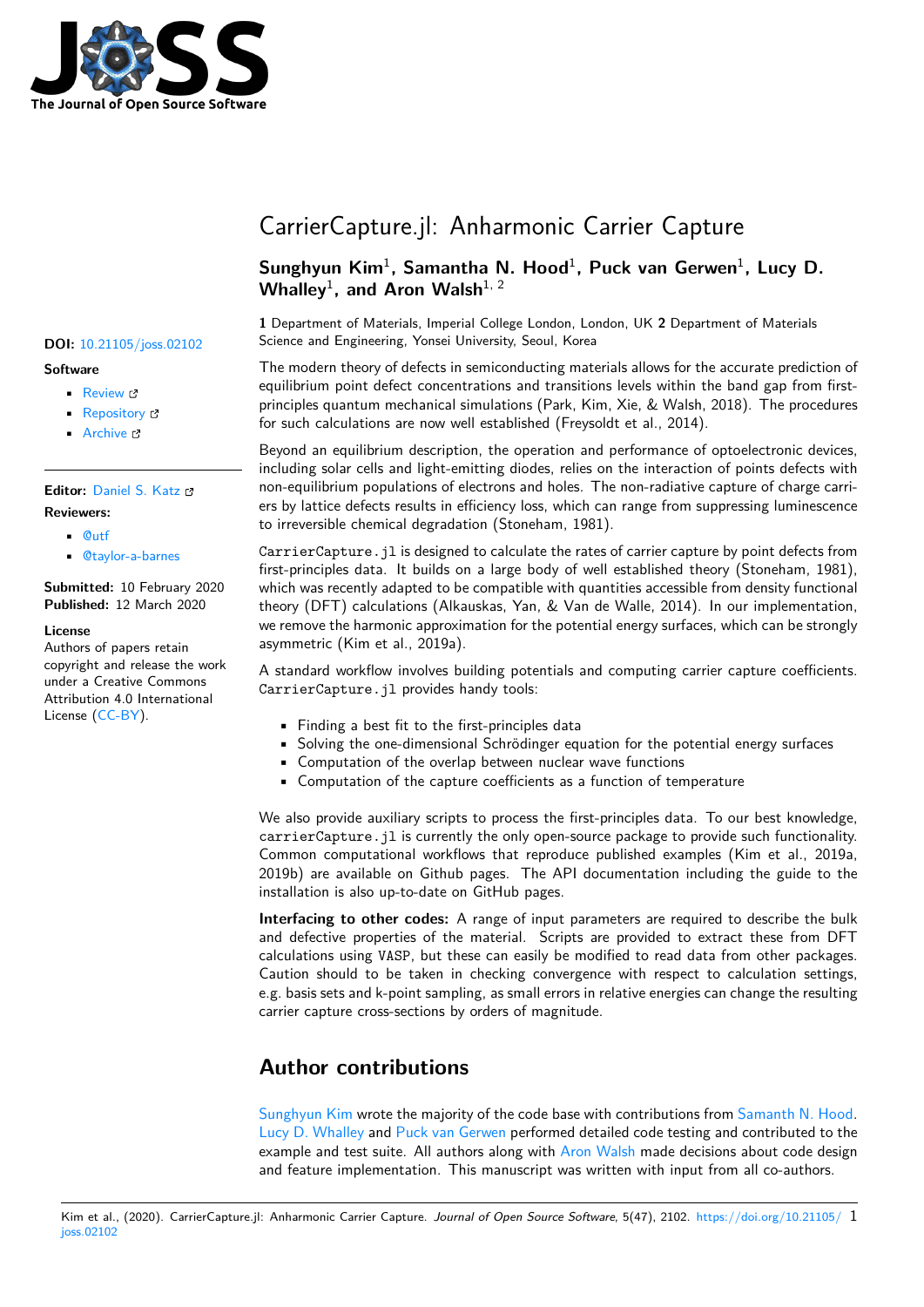

### **Software**

- Review C
- [Repository](https://doi.org/10.21105/joss.02102) &
- Archive

### **Editor:** [Daniel S.](https://github.com/WMD-group/CarrierCapture.jl) Katz **Revie[wers:](https://doi.org/10.5281/zenodo.3707592)**

- @utf
- @[taylor-a-barnes](http://danielskatz.org/)

**Submitted:** 10 February 2020 **Publi[shed:](https://github.com/utf)** 12 March 2020

#### **License**

Autho[rs of papers retai](https://github.com/taylor-a-barnes)n copyright and release the work under a Creative Commons Attribution 4.0 International License (CC-BY).

# CarrierCapture.jl: Anharmonic Carrier Capture

## Sunghyun Kim<sup>1</sup>, Samantha N. Hood<sup>1</sup>, Puck van Gerwen<sup>1</sup>, Lucy D. Whalley<sup>1</sup>, and Aron Walsh<sup>1, 2</sup>

**1** Department of Materials, Imperial College London, London, UK **2** Department of Materials **DOI:** 10.21105/joss.02102 Science and Engineering, Yonsei University, Seoul, Korea

> The modern theory of defects in semiconducting materials allows for the accurate prediction of equilibrium point defect concentrations and transitions levels within the band gap from firstprinciples quantum mechanical simulations (Park, Kim, Xie, & Walsh, 2018). The procedures for such calculations are now well established (Freysoldt et al., 2014).

> Beyond an equilibrium description, the operation and performance of optoelectronic devices, including solar cells and light-emitting diodes, relies on the interaction of points defects with non-equilibrium populations of electrons and holes. The non-radiative capture of charge carriers by lattice defects results in efficiency loss, which can range from suppressing luminescence to irreversible chemical degradation (Stoneham, 1981).

> CarrierCapture.jl is designed to calculate the rates of carrier capture by point defects from first-principles data. It builds on a large body of well established theory (Stoneham, 1981), which was recently adapted to be compatible with quantities accessible from density functional theory (DFT) calculations (Alkauskas, Yan, & Van de Walle, 2014). In our implementation, we remove the harmonic approximation for the potential energy surfaces, which can be strongly asymmetric (Kim et al., 2019a).

> A standard workflow involves building potentials and computing carrier capture coefficients. CarrierCapture.jl provides handy tools:

- Finding a best fit to the first-principles data
- Solving the one-dimensional Schrödinger equation for the potential energy surfaces
- Computation of the overlap between nuclear wave functions
- Computation of the capture coefficients as a function of temperature

We also provide auxiliary scripts to process the first-principles data. To our best knowledge, carrierCapture.jl is currently the only open-source package to provide such functionality. Common computational workflows that reproduce published examples (Kim et al., 2019a, 2019b) are available on Github pages. The API documentation including the guide to the installation is also up-to-date on GitHub pages.

**Interfacing to other codes:** A range of input parameters are required to describe the bulk and defective properties of the material. Scripts are provided to extract these from DFT calculations using VASP, but these can easily be modified to read data from other packages. Caution should to be taken in checking convergence with respect to calculation settings, e.g. basis sets and k-point sampling, as small errors in relative energies can change the resulting carrier capture cross-sections by orders of magnitude.

# **Author contributions**

Sunghyun Kim wrote the majority of the code base with contributions from Samanth N. Hood. Lucy D. Whalley and Puck van Gerwen performed detailed code testing and contributed to the example and test suite. All authors along with Aron Walsh made decisions about code design and feature implementation. This manuscript was written with input from all co-authors.

#### Kim et al., (2020). CarrierCapture.j[l: Anharmonic Carri](https://github.com/lucydot)er Capture. *[Journal of Op](https://github.com/puckvg)en Sourc[e Software](https://github.com/aronwalsh)*, 5(47), 2102. https://doi.org/10.21105/ 1ioss.02102